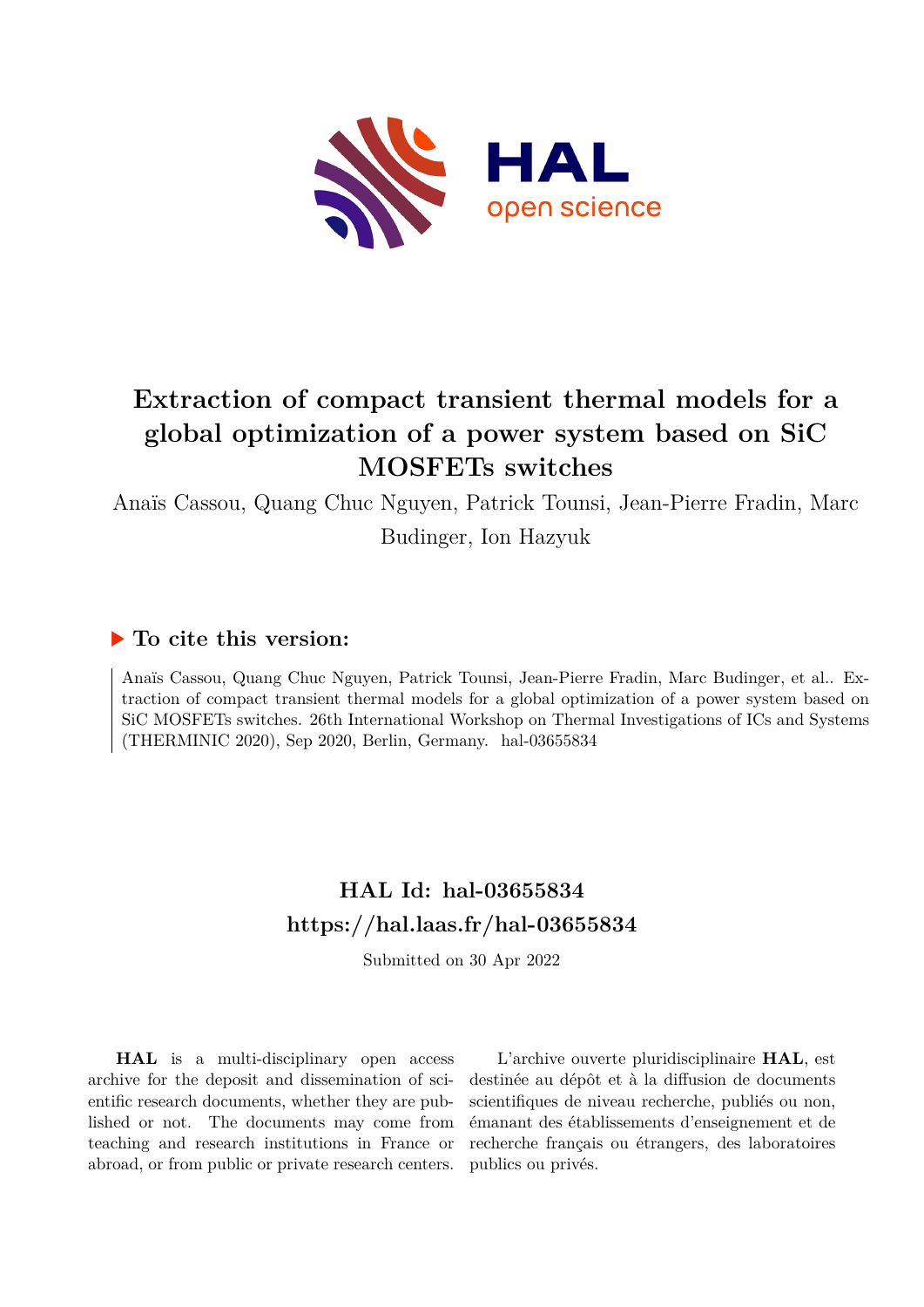

# **Extraction of compact transient thermal models for a global optimization of a power system based on SiC MOSFETs switches**

Anaïs Cassou, Quang Chuc Nguyen, Patrick Tounsi, Jean-Pierre Fradin, Marc

Budinger, Ion Hazyuk

## **To cite this version:**

Anaïs Cassou, Quang Chuc Nguyen, Patrick Tounsi, Jean-Pierre Fradin, Marc Budinger, et al.. Extraction of compact transient thermal models for a global optimization of a power system based on SiC MOSFETs switches. 26th International Workshop on Thermal Investigations of ICs and Systems (THERMINIC 2020), Sep 2020, Berlin, Germany. hal-03655834

## **HAL Id: hal-03655834 <https://hal.laas.fr/hal-03655834>**

Submitted on 30 Apr 2022

**HAL** is a multi-disciplinary open access archive for the deposit and dissemination of scientific research documents, whether they are published or not. The documents may come from teaching and research institutions in France or abroad, or from public or private research centers.

L'archive ouverte pluridisciplinaire **HAL**, est destinée au dépôt et à la diffusion de documents scientifiques de niveau recherche, publiés ou non, émanant des établissements d'enseignement et de recherche français ou étrangers, des laboratoires publics ou privés.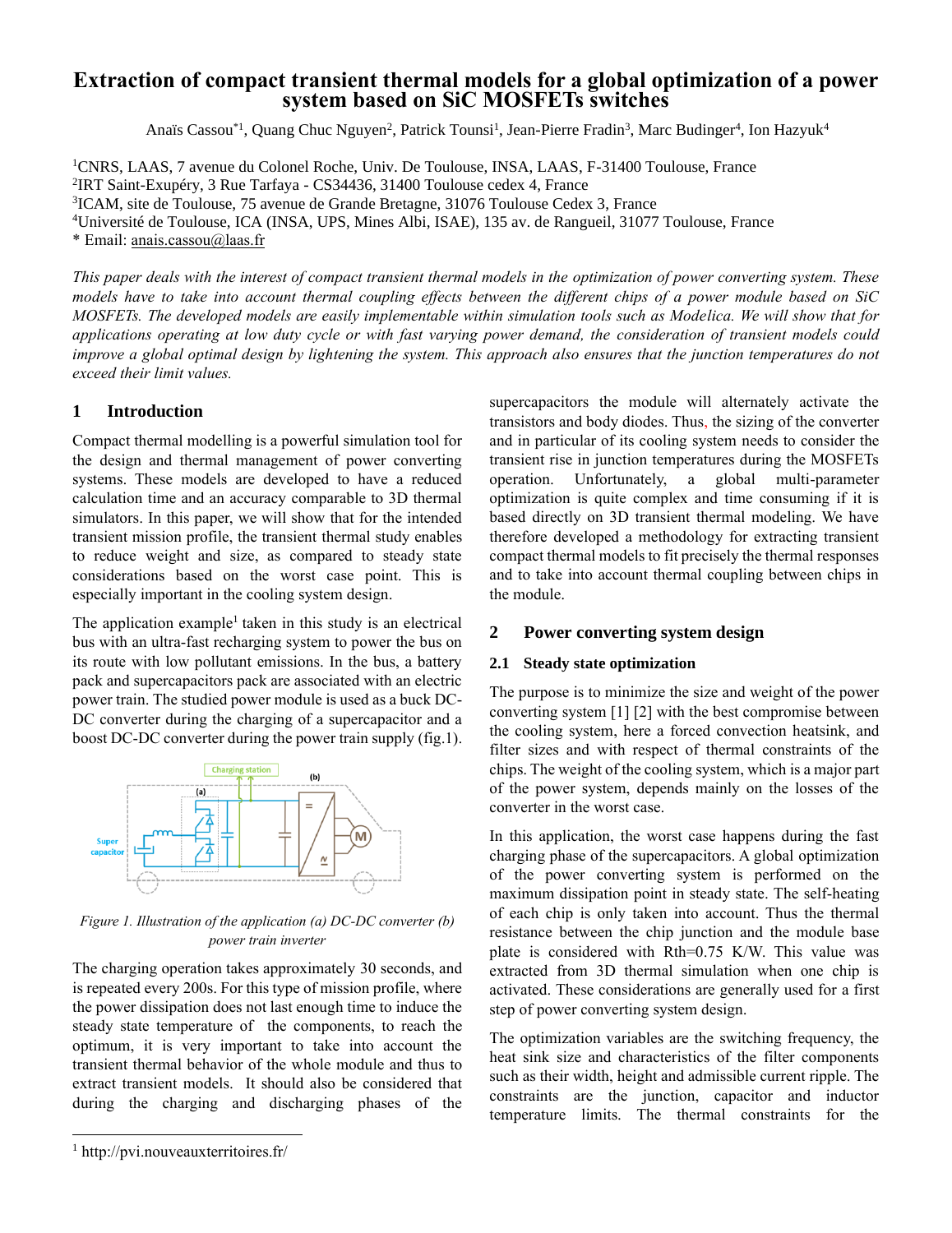### **Extraction of compact transient thermal models for a global optimization of a power system based on SiC MOSFETs switches**

Anaïs Cassou<sup>\*1</sup>, Quang Chuc Nguyen<sup>2</sup>, Patrick Tounsi<sup>1</sup>, Jean-Pierre Fradin<sup>3</sup>, Marc Budinger<sup>4</sup>, Ion Hazyuk<sup>4</sup>

CNRS, LAAS, 7 avenue du Colonel Roche, Univ. De Toulouse, INSA, LAAS, F-31400 Toulouse, France IRT Saint-Exupéry, 3 Rue Tarfaya - CS34436, 31400 Toulouse cedex 4, France ICAM, site de Toulouse, 75 avenue de Grande Bretagne, 31076 Toulouse Cedex 3, France Université de Toulouse, ICA (INSA, UPS, Mines Albi, ISAE), 135 av. de Rangueil, 31077 Toulouse, France \* Email: [anais.cassou@laas.fr](mailto:anais.cassou@laas.fr)

*This paper deals with the interest of compact transient thermal models in the optimization of power converting system. These models have to take into account thermal coupling effects between the different chips of a power module based on SiC MOSFETs. The developed models are easily implementable within simulation tools such as Modelica. We will show that for applications operating at low duty cycle or with fast varying power demand, the consideration of transient models could improve a global optimal design by lightening the system. This approach also ensures that the junction temperatures do not exceed their limit values.*

#### **1 Introduction**

Compact thermal modelling is a powerful simulation tool for the design and thermal management of power converting systems. These models are developed to have a reduced calculation time and an accuracy comparable to 3D thermal simulators. In this paper, we will show that for the intended transient mission profile, the transient thermal study enables to reduce weight and size, as compared to steady state considerations based on the worst case point. This is especially important in the cooling system design.

The application example<sup>1</sup> taken in this study is an electrical bus with an ultra-fast recharging system to power the bus on its route with low pollutant emissions. In the bus, a battery pack and supercapacitors pack are associated with an electric power train. The studied power module is used as a buck DC-DC converter during the charging of a supercapacitor and a boost DC-DC converter during the power train supply (fig.1).



*Figure 1. Illustration of the application (a) DC-DC converter (b) power train inverter*

The charging operation takes approximately 30 seconds, and is repeated every 200s. For this type of mission profile, where the power dissipation does not last enough time to induce the steady state temperature of the components, to reach the optimum, it is very important to take into account the transient thermal behavior of the whole module and thus to extract transient models. It should also be considered that during the charging and discharging phases of the supercapacitors the module will alternately activate the transistors and body diodes. Thus, the sizing of the converter and in particular of its cooling system needs to consider the transient rise in junction temperatures during the MOSFETs operation. Unfortunately, a global multi-parameter optimization is quite complex and time consuming if it is based directly on 3D transient thermal modeling. We have therefore developed a methodology for extracting transient compact thermal models to fit precisely the thermal responses and to take into account thermal coupling between chips in the module.

### **2 Power converting system design**

#### **2.1 Steady state optimization**

The purpose is to minimize the size and weight of the power converting system [1] [2] with the best compromise between the cooling system, here a forced convection heatsink, and filter sizes and with respect of thermal constraints of the chips. The weight of the cooling system, which is a major part of the power system, depends mainly on the losses of the converter in the worst case.

In this application, the worst case happens during the fast charging phase of the supercapacitors. A global optimization of the power converting system is performed on the maximum dissipation point in steady state. The self-heating of each chip is only taken into account. Thus the thermal resistance between the chip junction and the module base plate is considered with Rth=0.75 K/W. This value was extracted from 3D thermal simulation when one chip is activated. These considerations are generally used for a first step of power converting system design.

The optimization variables are the switching frequency, the heat sink size and characteristics of the filter components such as their width, height and admissible current ripple. The constraints are the junction, capacitor and inductor temperature limits. The thermal constraints for the

<sup>&</sup>lt;sup>1</sup> http://pvi.nouveauxterritoires.fr/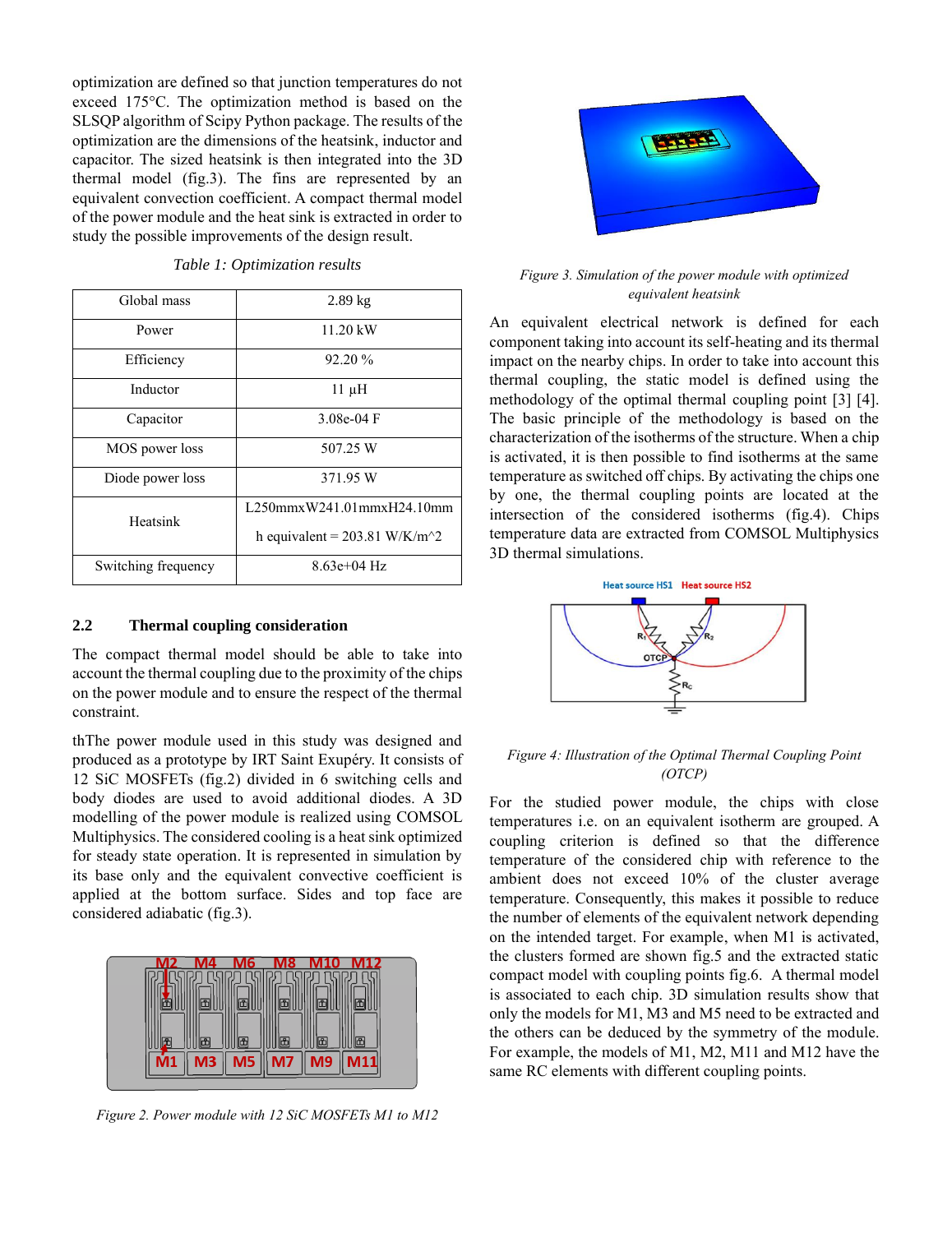optimization are defined so that junction temperatures do not exceed 175°C. The optimization method is based on the SLSQP algorithm of Scipy Python package. The results of the optimization are the dimensions of the heatsink, inductor and capacitor. The sized heatsink is then integrated into the 3D thermal model (fig.3). The fins are represented by an equivalent convection coefficient. A compact thermal model of the power module and the heat sink is extracted in order to study the possible improvements of the design result.

| Global mass         | $2.89$ kg                                                    |
|---------------------|--------------------------------------------------------------|
| Power               | $11.20 \text{ kW}$                                           |
| Efficiency          | 92.20 %                                                      |
| Inductor            | $11 \mu H$                                                   |
| Capacitor           | $3.08e-04$ F                                                 |
| MOS power loss      | 507.25 W                                                     |
| Diode power loss    | 371.95 W                                                     |
| Heatsink            | L250mmxW241.01mmxH24.10mm                                    |
|                     | h equivalent = $203.81$ W/K/m <sup><math>\sim</math></sup> 2 |
| Switching frequency | $8.63e+04$ Hz                                                |

*Table 1: Optimization results*

#### **2.2 Thermal coupling consideration**

The compact thermal model should be able to take into account the thermal coupling due to the proximity of the chips on the power module and to ensure the respect of the thermal constraint.

thThe power module used in this study was designed and produced as a prototype by IRT Saint Exupéry. It consists of 12 SiC MOSFETs (fig.2) divided in 6 switching cells and body diodes are used to avoid additional diodes. A 3D modelling of the power module is realized using COMSOL Multiphysics. The considered cooling is a heat sink optimized for steady state operation. It is represented in simulation by its base only and the equivalent convective coefficient is applied at the bottom surface. Sides and top face are considered adiabatic (fig.3).



*Figure 2. Power module with 12 SiC MOSFETs M1 to M12*



*Figure 3. Simulation of the power module with optimized equivalent heatsink*

An equivalent electrical network is defined for each component taking into account its self-heating and its thermal impact on the nearby chips. In order to take into account this thermal coupling, the static model is defined using the methodology of the optimal thermal coupling point [3] [4]. The basic principle of the methodology is based on the characterization of the isotherms of the structure. When a chip is activated, it is then possible to find isotherms at the same temperature as switched off chips. By activating the chips one by one, the thermal coupling points are located at the intersection of the considered isotherms (fig.4). Chips temperature data are extracted from COMSOL Multiphysics 3D thermal simulations.



#### *Figure 4: Illustration of the Optimal Thermal Coupling Point (OTCP)*

For the studied power module, the chips with close temperatures i.e. on an equivalent isotherm are grouped. A coupling criterion is defined so that the difference temperature of the considered chip with reference to the ambient does not exceed 10% of the cluster average temperature. Consequently, this makes it possible to reduce the number of elements of the equivalent network depending on the intended target. For example, when M1 is activated, the clusters formed are shown fig.5 and the extracted static compact model with coupling points fig.6. A thermal model is associated to each chip. 3D simulation results show that only the models for M1, M3 and M5 need to be extracted and the others can be deduced by the symmetry of the module. For example, the models of M1, M2, M11 and M12 have the same RC elements with different coupling points.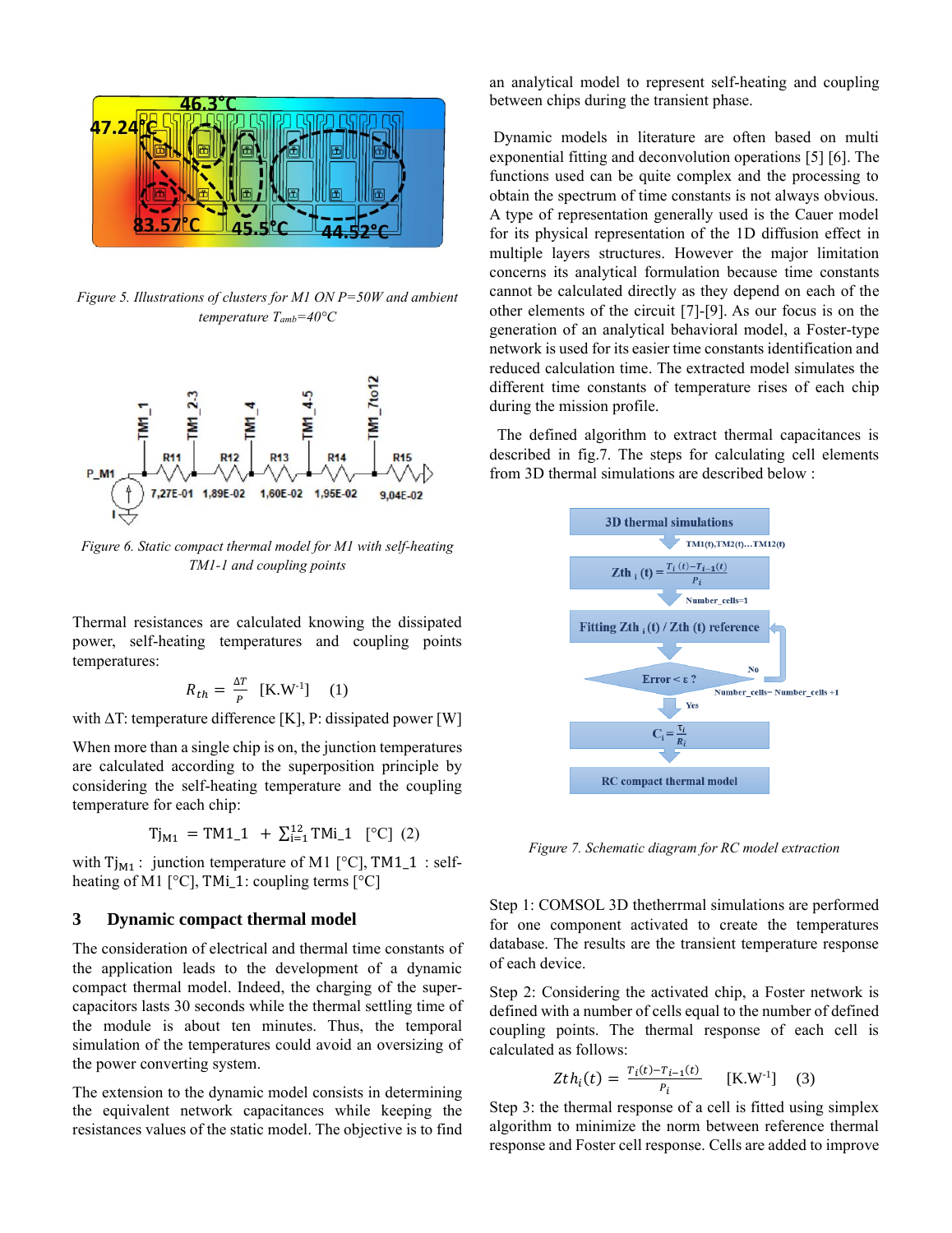

*Figure 5. Illustrations of clusters for M1 ON P=50W and ambient temperature Tamb=40°C*



*Figure 6. Static compact thermal model for M1 with self-heating TM1-1 and coupling points* 

Thermal resistances are calculated knowing the dissipated power, self-heating temperatures and coupling points temperatures:

$$
R_{th} = \frac{\Delta T}{P} \quad \text{[K.W-1]} \quad (1)
$$

with  $\Delta T$ : temperature difference [K], P: dissipated power [W]

When more than a single chip is on, the junction temperatures are calculated according to the superposition principle by considering the self-heating temperature and the coupling temperature for each chip:

$$
Tj_{M1} = TM1_1 + \sum_{i=1}^{12} TMi_1
$$
 [°C] (2)

with  $Tj_{M1}$ : junction temperature of M1 [°C], TM1\_1 : selfheating of M1  $[°C]$ , TMi\_1: coupling terms  $[°C]$ 

#### **3 Dynamic compact thermal model**

The consideration of electrical and thermal time constants of the application leads to the development of a dynamic compact thermal model. Indeed, the charging of the supercapacitors lasts 30 seconds while the thermal settling time of the module is about ten minutes. Thus, the temporal simulation of the temperatures could avoid an oversizing of the power converting system.

The extension to the dynamic model consists in determining the equivalent network capacitances while keeping the resistances values of the static model. The objective is to find an analytical model to represent self-heating and coupling between chips during the transient phase.

Dynamic models in literature are often based on multi exponential fitting and deconvolution operations [5] [6]. The functions used can be quite complex and the processing to obtain the spectrum of time constants is not always obvious. A type of representation generally used is the Cauer model for its physical representation of the 1D diffusion effect in multiple layers structures. However the major limitation concerns its analytical formulation because time constants cannot be calculated directly as they depend on each of the other elements of the circuit [7]-[9]. As our focus is on the generation of an analytical behavioral model, a Foster-type network is used for its easier time constants identification and reduced calculation time. The extracted model simulates the different time constants of temperature rises of each chip during the mission profile.

 The defined algorithm to extract thermal capacitances is described in fig.7. The steps for calculating cell elements from 3D thermal simulations are described below :



*Figure 7. Schematic diagram for RC model extraction*

Step 1: COMSOL 3D thetherrmal simulations are performed for one component activated to create the temperatures database. The results are the transient temperature response of each device.

Step 2: Considering the activated chip, a Foster network is defined with a number of cells equal to the number of defined coupling points. The thermal response of each cell is calculated as follows:

$$
Zth_i(t) = \frac{T_i(t) - T_{i-1}(t)}{P_i} \quad [K.W^{-1}] \quad (3)
$$

Step 3: the thermal response of a cell is fitted using simplex algorithm to minimize the norm between reference thermal response and Foster cell response. Cells are added to improve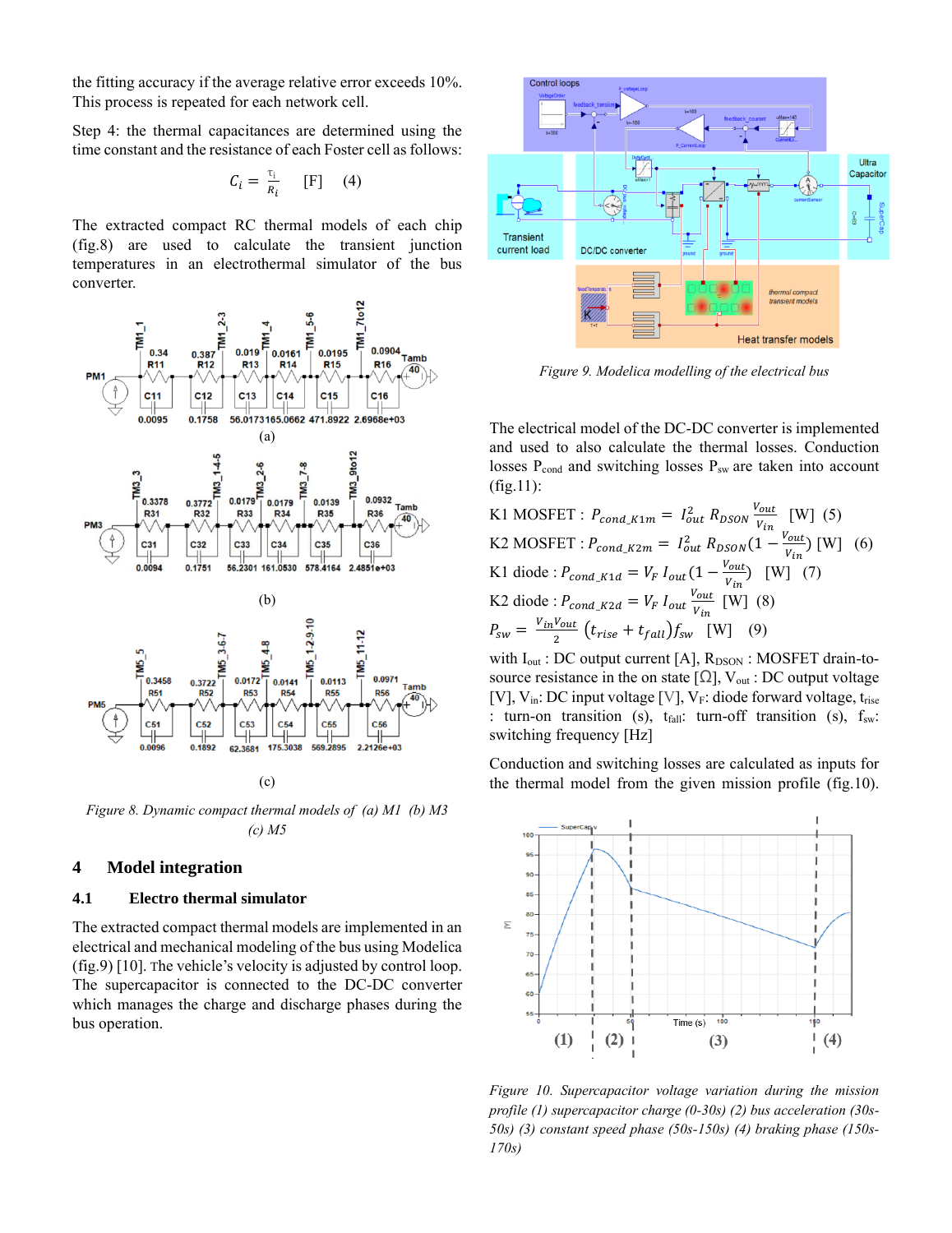the fitting accuracy if the average relative error exceeds 10%. This process is repeated for each network cell.

Step 4: the thermal capacitances are determined using the time constant and the resistance of each Foster cell as follows:

$$
C_i = \frac{\tau_i}{R_i} \qquad [F] \qquad (4)
$$

The extracted compact RC thermal models of each chip (fig.8) are used to calculate the transient junction temperatures in an electrothermal simulator of the bus converter.



*Figure 8. Dynamic compact thermal models of (a) M1 (b) M3 (c) M5* 

#### **4 Model integration**

#### **4.1 Electro thermal simulator**

The extracted compact thermal models are implemented in an electrical and mechanical modeling of the bus using Modelica (fig.9) [10]. The vehicle's velocity is adjusted by control loop. The supercapacitor is connected to the DC-DC converter which manages the charge and discharge phases during the bus operation.



*Figure 9. Modelica modelling of the electrical bus*

The electrical model of the DC-DC converter is implemented and used to also calculate the thermal losses. Conduction losses P<sub>cond</sub> and switching losses P<sub>sw</sub> are taken into account (fig.11):

K1 MOSFET :  $P_{cond\_K1m} = I_{out}^2 R_{DSON} \frac{V_{out}}{V}$  $\frac{V_{out}}{V_{in}}$  [W] (5) K2 MOSFET :  $P_{cond\_K2m} = I_{out}^2 R_{DSON} (1 - \frac{V_{out}}{V_{tot}})$  $\frac{V_{out}}{V_{in}}$  [W] (6) K1 diode :  $P_{cond\_K1d} = V_F I_{out} (1 - \frac{V_{out}}{V_{tot}})$  $\frac{v_{out}}{v_{in}}$  [W] (7) K2 diode :  $P_{cond\_K2d} = V_F I_{out} \frac{V_{out}}{V}$  $\frac{v_{out}}{v_{in}}$  [W] (8)  $P_{SW}=\frac{V_{in}V_{out}}{2}$  $\frac{v_{out}}{2}$   $(t_{rise} + t_{fall}) f_{sw}$  [W] (9)

with  $I_{out}$ : DC output current [A],  $R_{DSON}$ : MOSFET drain-tosource resistance in the on state [ $\Omega$ ], V<sub>out</sub> : DC output voltage [V],  $V_{in}$ : DC input voltage [V],  $V_F$ : diode forward voltage, t<sub>rise</sub> : turn-on transition (s),  $t_{fall}$ : turn-off transition (s),  $f_{sw}$ : switching frequency [Hz]

Conduction and switching losses are calculated as inputs for the thermal model from the given mission profile (fig.10).



*Figure 10. Supercapacitor voltage variation during the mission profile (1) supercapacitor charge (0-30s) (2) bus acceleration (30s-50s) (3) constant speed phase (50s-150s) (4) braking phase (150s-170s)*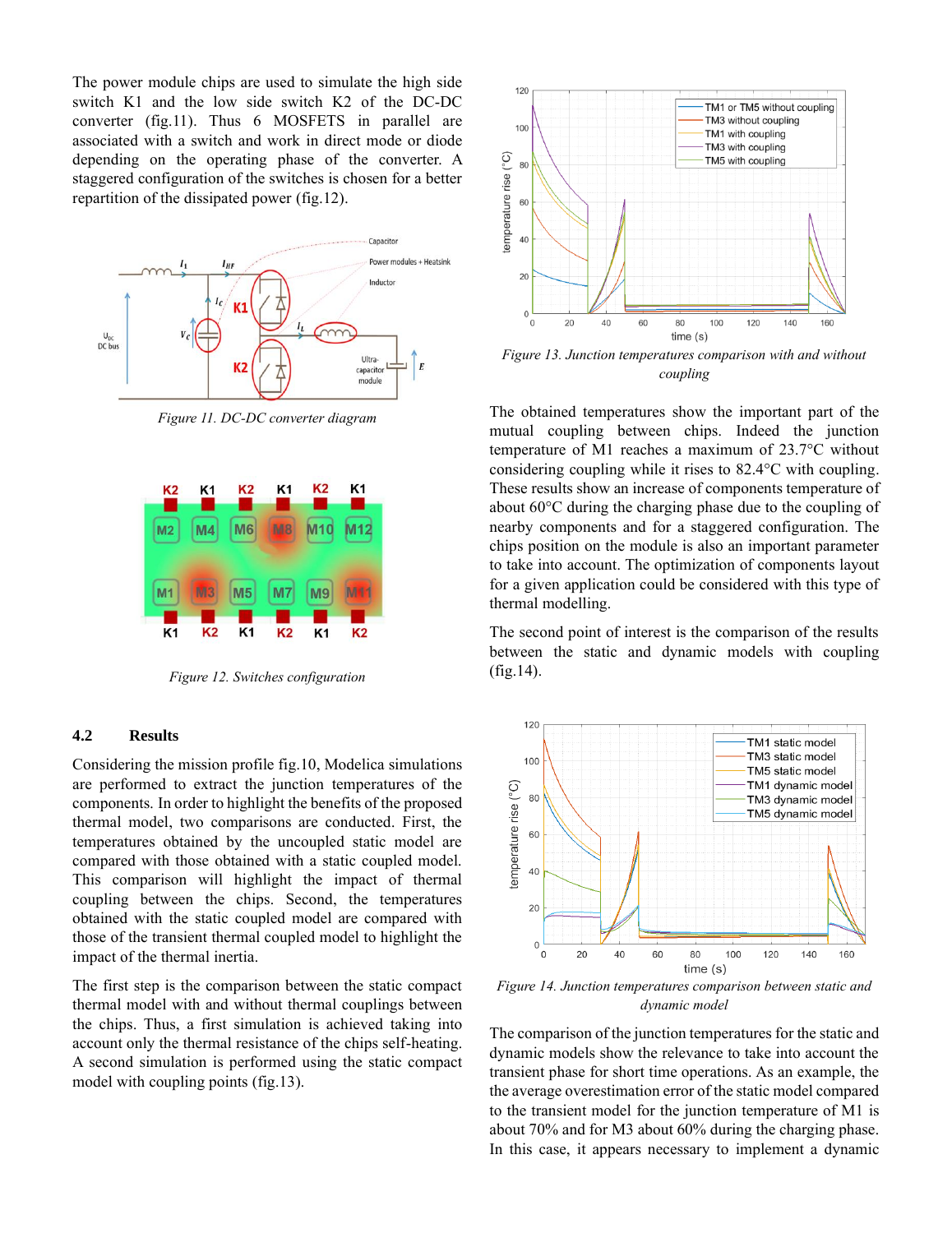The power module chips are used to simulate the high side switch K1 and the low side switch K2 of the DC-DC converter (fig.11). Thus 6 MOSFETS in parallel are associated with a switch and work in direct mode or diode depending on the operating phase of the converter. A staggered configuration of the switches is chosen for a better repartition of the dissipated power (fig.12).



*Figure 11. DC-DC converter diagram*



*Figure 12. Switches configuration*

#### **4.2 Results**

Considering the mission profile fig.10, Modelica simulations are performed to extract the junction temperatures of the components. In order to highlight the benefits of the proposed thermal model, two comparisons are conducted. First, the temperatures obtained by the uncoupled static model are compared with those obtained with a static coupled model. This comparison will highlight the impact of thermal coupling between the chips. Second, the temperatures obtained with the static coupled model are compared with those of the transient thermal coupled model to highlight the impact of the thermal inertia.

The first step is the comparison between the static compact thermal model with and without thermal couplings between the chips. Thus, a first simulation is achieved taking into account only the thermal resistance of the chips self-heating. A second simulation is performed using the static compact model with coupling points (fig.13).



*Figure 13. Junction temperatures comparison with and without coupling*

The obtained temperatures show the important part of the mutual coupling between chips. Indeed the junction temperature of M1 reaches a maximum of 23.7°C without considering coupling while it rises to 82.4°C with coupling. These results show an increase of components temperature of about 60°C during the charging phase due to the coupling of nearby components and for a staggered configuration. The chips position on the module is also an important parameter to take into account. The optimization of components layout for a given application could be considered with this type of thermal modelling.

The second point of interest is the comparison of the results between the static and dynamic models with coupling (fig.14).



*Figure 14. Junction temperatures comparison between static and dynamic model*

The comparison of the junction temperatures for the static and dynamic models show the relevance to take into account the transient phase for short time operations. As an example, the the average overestimation error of the static model compared to the transient model for the junction temperature of M1 is about 70% and for M3 about 60% during the charging phase. In this case, it appears necessary to implement a dynamic